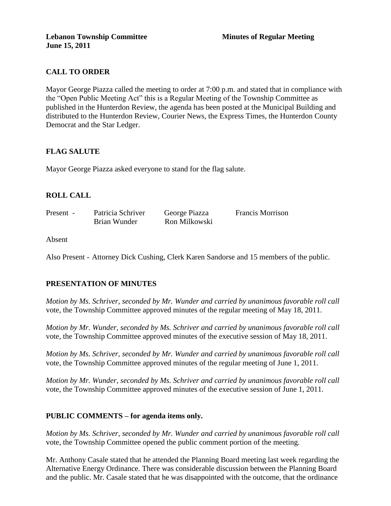# **CALL TO ORDER**

Mayor George Piazza called the meeting to order at 7:00 p.m. and stated that in compliance with the "Open Public Meeting Act" this is a Regular Meeting of the Township Committee as published in the Hunterdon Review, the agenda has been posted at the Municipal Building and distributed to the Hunterdon Review, Courier News, the Express Times, the Hunterdon County Democrat and the Star Ledger.

### **FLAG SALUTE**

Mayor George Piazza asked everyone to stand for the flag salute.

# **ROLL CALL**

| Present - | Patricia Schriver | George Piazza | <b>Francis Morrison</b> |
|-----------|-------------------|---------------|-------------------------|
|           | Brian Wunder      | Ron Milkowski |                         |

Absent

Also Present - Attorney Dick Cushing, Clerk Karen Sandorse and 15 members of the public.

#### **PRESENTATION OF MINUTES**

*Motion by Ms. Schriver, seconded by Mr. Wunder and carried by unanimous favorable roll call*  vote, the Township Committee approved minutes of the regular meeting of May 18, 2011.

*Motion by Mr. Wunder, seconded by Ms. Schriver and carried by unanimous favorable roll call*  vote, the Township Committee approved minutes of the executive session of May 18, 2011.

*Motion by Ms. Schriver, seconded by Mr. Wunder and carried by unanimous favorable roll call*  vote, the Township Committee approved minutes of the regular meeting of June 1, 2011.

*Motion by Mr. Wunder, seconded by Ms. Schriver and carried by unanimous favorable roll call*  vote, the Township Committee approved minutes of the executive session of June 1, 2011.

#### **PUBLIC COMMENTS – for agenda items only.**

*Motion by Ms. Schriver, seconded by Mr. Wunder and carried by unanimous favorable roll call*  vote, the Township Committee opened the public comment portion of the meeting.

Mr. Anthony Casale stated that he attended the Planning Board meeting last week regarding the Alternative Energy Ordinance. There was considerable discussion between the Planning Board and the public. Mr. Casale stated that he was disappointed with the outcome, that the ordinance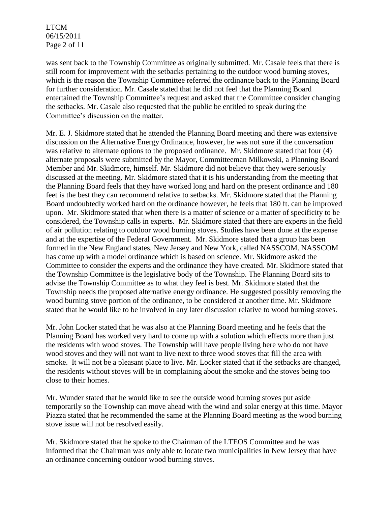LTCM 06/15/2011 Page 2 of 11

was sent back to the Township Committee as originally submitted. Mr. Casale feels that there is still room for improvement with the setbacks pertaining to the outdoor wood burning stoves, which is the reason the Township Committee referred the ordinance back to the Planning Board for further consideration. Mr. Casale stated that he did not feel that the Planning Board entertained the Township Committee's request and asked that the Committee consider changing the setbacks. Mr. Casale also requested that the public be entitled to speak during the Committee's discussion on the matter.

Mr. E. J. Skidmore stated that he attended the Planning Board meeting and there was extensive discussion on the Alternative Energy Ordinance, however, he was not sure if the conversation was relative to alternate options to the proposed ordinance. Mr. Skidmore stated that four (4) alternate proposals were submitted by the Mayor, Committeeman Milkowski, a Planning Board Member and Mr. Skidmore, himself. Mr. Skidmore did not believe that they were seriously discussed at the meeting. Mr. Skidmore stated that it is his understanding from the meeting that the Planning Board feels that they have worked long and hard on the present ordinance and 180 feet is the best they can recommend relative to setbacks. Mr. Skidmore stated that the Planning Board undoubtedly worked hard on the ordinance however, he feels that 180 ft. can be improved upon. Mr. Skidmore stated that when there is a matter of science or a matter of specificity to be considered, the Township calls in experts. Mr. Skidmore stated that there are experts in the field of air pollution relating to outdoor wood burning stoves. Studies have been done at the expense and at the expertise of the Federal Government. Mr. Skidmore stated that a group has been formed in the New England states, New Jersey and New York, called NASSCOM. NASSCOM has come up with a model ordinance which is based on science. Mr. Skidmore asked the Committee to consider the experts and the ordinance they have created. Mr. Skidmore stated that the Township Committee is the legislative body of the Township. The Planning Board sits to advise the Township Committee as to what they feel is best. Mr. Skidmore stated that the Township needs the proposed alternative energy ordinance. He suggested possibly removing the wood burning stove portion of the ordinance, to be considered at another time. Mr. Skidmore stated that he would like to be involved in any later discussion relative to wood burning stoves.

Mr. John Locker stated that he was also at the Planning Board meeting and he feels that the Planning Board has worked very hard to come up with a solution which effects more than just the residents with wood stoves. The Township will have people living here who do not have wood stoves and they will not want to live next to three wood stoves that fill the area with smoke. It will not be a pleasant place to live. Mr. Locker stated that if the setbacks are changed, the residents without stoves will be in complaining about the smoke and the stoves being too close to their homes.

Mr. Wunder stated that he would like to see the outside wood burning stoves put aside temporarily so the Township can move ahead with the wind and solar energy at this time. Mayor Piazza stated that he recommended the same at the Planning Board meeting as the wood burning stove issue will not be resolved easily.

Mr. Skidmore stated that he spoke to the Chairman of the LTEOS Committee and he was informed that the Chairman was only able to locate two municipalities in New Jersey that have an ordinance concerning outdoor wood burning stoves.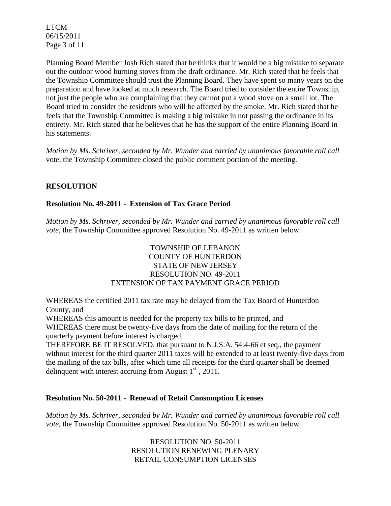LTCM 06/15/2011 Page 3 of 11

Planning Board Member Josh Rich stated that he thinks that it would be a big mistake to separate out the outdoor wood burning stoves from the draft ordinance. Mr. Rich stated that he feels that the Township Committee should trust the Planning Board. They have spent so many years on the preparation and have looked at much research. The Board tried to consider the entire Township, not just the people who are complaining that they cannot put a wood stove on a small lot. The Board tried to consider the residents who will be affected by the smoke. Mr. Rich stated that he feels that the Township Committee is making a big mistake in not passing the ordinance in its entirety. Mr. Rich stated that he believes that he has the support of the entire Planning Board in his statements.

*Motion by Ms. Schriver, seconded by Mr. Wunder and carried by unanimous favorable roll call*  vote, the Township Committee closed the public comment portion of the meeting.

### **RESOLUTION**

#### **Resolution No. 49-2011 - Extension of Tax Grace Period**

*Motion by Ms. Schriver, seconded by Mr. Wunder and carried by unanimous favorable roll call vote,* the Township Committee approved Resolution No. 49-2011 as written below.

### TOWNSHIP OF LEBANON COUNTY OF HUNTERDON STATE OF NEW JERSEY RESOLUTION NO. 49-2011 EXTENSION OF TAX PAYMENT GRACE PERIOD

WHEREAS the certified 2011 tax rate may be delayed from the Tax Board of Hunterdon County, and

WHEREAS this amount is needed for the property tax bills to be printed, and WHEREAS there must be twenty-five days from the date of mailing for the return of the quarterly payment before interest is charged,

THEREFORE BE IT RESOLVED, that pursuant to N.J.S.A. 54:4-66 et seq., the payment without interest for the third quarter 2011 taxes will be extended to at least twenty-five days from the mailing of the tax bills, after which time all receipts for the third quarter shall be deemed delinquent with interest accruing from August  $1<sup>st</sup>$ , 2011.

#### **Resolution No. 50-2011 - Renewal of Retail Consumption Licenses**

*Motion by Ms. Schriver, seconded by Mr. Wunder and carried by unanimous favorable roll call vote,* the Township Committee approved Resolution No. 50-2011 as written below.

> RESOLUTION NO. 50-2011 RESOLUTION RENEWING PLENARY RETAIL CONSUMPTION LICENSES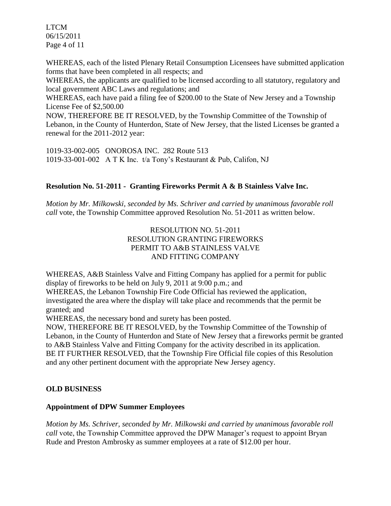LTCM 06/15/2011 Page 4 of 11

WHEREAS, each of the listed Plenary Retail Consumption Licensees have submitted application forms that have been completed in all respects; and

WHEREAS, the applicants are qualified to be licensed according to all statutory, regulatory and local government ABC Laws and regulations; and

WHEREAS, each have paid a filing fee of \$200.00 to the State of New Jersey and a Township License Fee of \$2,500.00

NOW, THEREFORE BE IT RESOLVED, by the Township Committee of the Township of Lebanon, in the County of Hunterdon, State of New Jersey, that the listed Licenses be granted a renewal for the 2011-2012 year:

1019-33-002-005 ONOROSA INC. 282 Route 513 1019-33-001-002 A T K Inc. t/a Tony's Restaurant & Pub, Califon, NJ

# **Resolution No. 51-2011 - Granting Fireworks Permit A & B Stainless Valve Inc.**

*Motion by Mr. Milkowski, seconded by Ms. Schriver and carried by unanimous favorable roll call* vote, the Township Committee approved Resolution No. 51-2011 as written below.

### RESOLUTION NO. 51-2011 RESOLUTION GRANTING FIREWORKS PERMIT TO A&B STAINLESS VALVE AND FITTING COMPANY

WHEREAS, A&B Stainless Valve and Fitting Company has applied for a permit for public display of fireworks to be held on July 9, 2011 at 9:00 p.m.; and

WHEREAS, the Lebanon Township Fire Code Official has reviewed the application, investigated the area where the display will take place and recommends that the permit be granted; and

WHEREAS, the necessary bond and surety has been posted.

NOW, THEREFORE BE IT RESOLVED, by the Township Committee of the Township of Lebanon, in the County of Hunterdon and State of New Jersey that a fireworks permit be granted to A&B Stainless Valve and Fitting Company for the activity described in its application. BE IT FURTHER RESOLVED, that the Township Fire Official file copies of this Resolution and any other pertinent document with the appropriate New Jersey agency.

# **OLD BUSINESS**

#### **Appointment of DPW Summer Employees**

*Motion by Ms. Schriver, seconded by Mr. Milkowski and carried by unanimous favorable roll call* vote, the Township Committee approved the DPW Manager's request to appoint Bryan Rude and Preston Ambrosky as summer employees at a rate of \$12.00 per hour.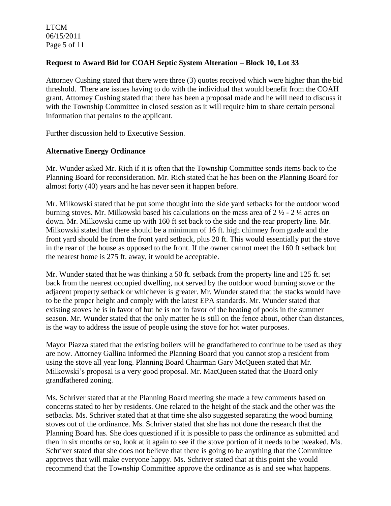LTCM 06/15/2011 Page 5 of 11

### **Request to Award Bid for COAH Septic System Alteration – Block 10, Lot 33**

Attorney Cushing stated that there were three (3) quotes received which were higher than the bid threshold. There are issues having to do with the individual that would benefit from the COAH grant. Attorney Cushing stated that there has been a proposal made and he will need to discuss it with the Township Committee in closed session as it will require him to share certain personal information that pertains to the applicant.

Further discussion held to Executive Session.

#### **Alternative Energy Ordinance**

Mr. Wunder asked Mr. Rich if it is often that the Township Committee sends items back to the Planning Board for reconsideration. Mr. Rich stated that he has been on the Planning Board for almost forty (40) years and he has never seen it happen before.

Mr. Milkowski stated that he put some thought into the side yard setbacks for the outdoor wood burning stoves. Mr. Milkowski based his calculations on the mass area of 2 ½ - 2 ¼ acres on down. Mr. Milkowski came up with 160 ft set back to the side and the rear property line. Mr. Milkowski stated that there should be a minimum of 16 ft. high chimney from grade and the front yard should be from the front yard setback, plus 20 ft. This would essentially put the stove in the rear of the house as opposed to the front. If the owner cannot meet the 160 ft setback but the nearest home is 275 ft. away, it would be acceptable.

Mr. Wunder stated that he was thinking a 50 ft. setback from the property line and 125 ft. set back from the nearest occupied dwelling, not served by the outdoor wood burning stove or the adjacent property setback or whichever is greater. Mr. Wunder stated that the stacks would have to be the proper height and comply with the latest EPA standards. Mr. Wunder stated that existing stoves he is in favor of but he is not in favor of the heating of pools in the summer season. Mr. Wunder stated that the only matter he is still on the fence about, other than distances, is the way to address the issue of people using the stove for hot water purposes.

Mayor Piazza stated that the existing boilers will be grandfathered to continue to be used as they are now. Attorney Gallina informed the Planning Board that you cannot stop a resident from using the stove all year long. Planning Board Chairman Gary McQueen stated that Mr. Milkowski's proposal is a very good proposal. Mr. MacQueen stated that the Board only grandfathered zoning.

Ms. Schriver stated that at the Planning Board meeting she made a few comments based on concerns stated to her by residents. One related to the height of the stack and the other was the setbacks. Ms. Schriver stated that at that time she also suggested separating the wood burning stoves out of the ordinance. Ms. Schriver stated that she has not done the research that the Planning Board has. She does questioned if it is possible to pass the ordinance as submitted and then in six months or so, look at it again to see if the stove portion of it needs to be tweaked. Ms. Schriver stated that she does not believe that there is going to be anything that the Committee approves that will make everyone happy. Ms. Schriver stated that at this point she would recommend that the Township Committee approve the ordinance as is and see what happens.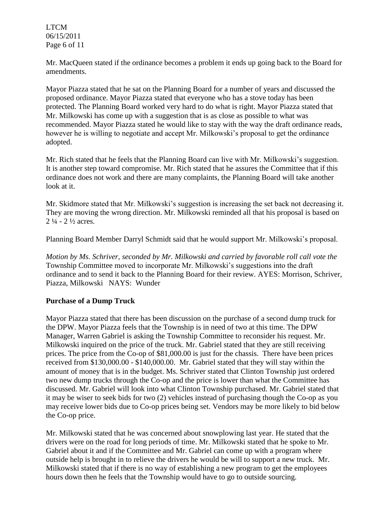LTCM 06/15/2011 Page 6 of 11

Mr. MacQueen stated if the ordinance becomes a problem it ends up going back to the Board for amendments.

Mayor Piazza stated that he sat on the Planning Board for a number of years and discussed the proposed ordinance. Mayor Piazza stated that everyone who has a stove today has been protected. The Planning Board worked very hard to do what is right. Mayor Piazza stated that Mr. Milkowski has come up with a suggestion that is as close as possible to what was recommended. Mayor Piazza stated he would like to stay with the way the draft ordinance reads, however he is willing to negotiate and accept Mr. Milkowski's proposal to get the ordinance adopted.

Mr. Rich stated that he feels that the Planning Board can live with Mr. Milkowski's suggestion. It is another step toward compromise. Mr. Rich stated that he assures the Committee that if this ordinance does not work and there are many complaints, the Planning Board will take another look at it.

Mr. Skidmore stated that Mr. Milkowski's suggestion is increasing the set back not decreasing it. They are moving the wrong direction. Mr. Milkowski reminded all that his proposal is based on  $2 \frac{1}{4}$  -  $2 \frac{1}{2}$  acres.

Planning Board Member Darryl Schmidt said that he would support Mr. Milkowski's proposal.

*Motion by Ms. Schriver, seconded by Mr. Milkowski and carried by favorable roll call vote the*  Township Committee moved to incorporate Mr. Milkowski's suggestions into the draft ordinance and to send it back to the Planning Board for their review. AYES: Morrison, Schriver, Piazza, Milkowski NAYS: Wunder

# **Purchase of a Dump Truck**

Mayor Piazza stated that there has been discussion on the purchase of a second dump truck for the DPW. Mayor Piazza feels that the Township is in need of two at this time. The DPW Manager, Warren Gabriel is asking the Township Committee to reconsider his request. Mr. Milkowski inquired on the price of the truck. Mr. Gabriel stated that they are still receiving prices. The price from the Co-op of \$81,000.00 is just for the chassis. There have been prices received from \$130,000.00 - \$140,000.00. Mr. Gabriel stated that they will stay within the amount of money that is in the budget. Ms. Schriver stated that Clinton Township just ordered two new dump trucks through the Co-op and the price is lower than what the Committee has discussed. Mr. Gabriel will look into what Clinton Township purchased. Mr. Gabriel stated that it may be wiser to seek bids for two (2) vehicles instead of purchasing though the Co-op as you may receive lower bids due to Co-op prices being set. Vendors may be more likely to bid below the Co-op price.

Mr. Milkowski stated that he was concerned about snowplowing last year. He stated that the drivers were on the road for long periods of time. Mr. Milkowski stated that he spoke to Mr. Gabriel about it and if the Committee and Mr. Gabriel can come up with a program where outside help is brought in to relieve the drivers he would be will to support a new truck. Mr. Milkowski stated that if there is no way of establishing a new program to get the employees hours down then he feels that the Township would have to go to outside sourcing.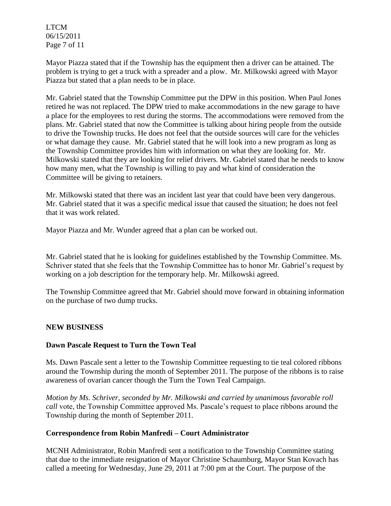LTCM 06/15/2011 Page 7 of 11

Mayor Piazza stated that if the Township has the equipment then a driver can be attained. The problem is trying to get a truck with a spreader and a plow. Mr. Milkowski agreed with Mayor Piazza but stated that a plan needs to be in place.

Mr. Gabriel stated that the Township Committee put the DPW in this position. When Paul Jones retired he was not replaced. The DPW tried to make accommodations in the new garage to have a place for the employees to rest during the storms. The accommodations were removed from the plans. Mr. Gabriel stated that now the Committee is talking about hiring people from the outside to drive the Township trucks. He does not feel that the outside sources will care for the vehicles or what damage they cause. Mr. Gabriel stated that he will look into a new program as long as the Township Committee provides him with information on what they are looking for. Mr. Milkowski stated that they are looking for relief drivers. Mr. Gabriel stated that he needs to know how many men, what the Township is willing to pay and what kind of consideration the Committee will be giving to retainers.

Mr. Milkowski stated that there was an incident last year that could have been very dangerous. Mr. Gabriel stated that it was a specific medical issue that caused the situation; he does not feel that it was work related.

Mayor Piazza and Mr. Wunder agreed that a plan can be worked out.

Mr. Gabriel stated that he is looking for guidelines established by the Township Committee. Ms. Schriver stated that she feels that the Township Committee has to honor Mr. Gabriel's request by working on a job description for the temporary help. Mr. Milkowski agreed.

The Township Committee agreed that Mr. Gabriel should move forward in obtaining information on the purchase of two dump trucks.

# **NEW BUSINESS**

# **Dawn Pascale Request to Turn the Town Teal**

Ms. Dawn Pascale sent a letter to the Township Committee requesting to tie teal colored ribbons around the Township during the month of September 2011. The purpose of the ribbons is to raise awareness of ovarian cancer though the Turn the Town Teal Campaign.

*Motion by Ms. Schriver, seconded by Mr. Milkowski and carried by unanimous favorable roll call* vote, the Township Committee approved Ms. Pascale's request to place ribbons around the Township during the month of September 2011.

#### **Correspondence from Robin Manfredi – Court Administrator**

MCNH Administrator, Robin Manfredi sent a notification to the Township Committee stating that due to the immediate resignation of Mayor Christine Schaumburg, Mayor Stan Kovach has called a meeting for Wednesday, June 29, 2011 at 7:00 pm at the Court. The purpose of the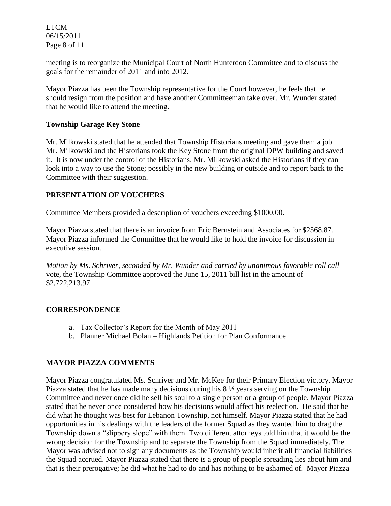LTCM 06/15/2011 Page 8 of 11

meeting is to reorganize the Municipal Court of North Hunterdon Committee and to discuss the goals for the remainder of 2011 and into 2012.

Mayor Piazza has been the Township representative for the Court however, he feels that he should resign from the position and have another Committeeman take over. Mr. Wunder stated that he would like to attend the meeting.

### **Township Garage Key Stone**

Mr. Milkowski stated that he attended that Township Historians meeting and gave them a job. Mr. Milkowski and the Historians took the Key Stone from the original DPW building and saved it. It is now under the control of the Historians. Mr. Milkowski asked the Historians if they can look into a way to use the Stone; possibly in the new building or outside and to report back to the Committee with their suggestion.

# **PRESENTATION OF VOUCHERS**

Committee Members provided a description of vouchers exceeding \$1000.00.

Mayor Piazza stated that there is an invoice from Eric Bernstein and Associates for \$2568.87. Mayor Piazza informed the Committee that he would like to hold the invoice for discussion in executive session.

*Motion by Ms. Schriver, seconded by Mr. Wunder and carried by unanimous favorable roll call*  vote, the Township Committee approved the June 15, 2011 bill list in the amount of \$2,722,213.97.

#### **CORRESPONDENCE**

- a. Tax Collector's Report for the Month of May 2011
- b. Planner Michael Bolan Highlands Petition for Plan Conformance

# **MAYOR PIAZZA COMMENTS**

Mayor Piazza congratulated Ms. Schriver and Mr. McKee for their Primary Election victory. Mayor Piazza stated that he has made many decisions during his 8 ½ years serving on the Township Committee and never once did he sell his soul to a single person or a group of people. Mayor Piazza stated that he never once considered how his decisions would affect his reelection. He said that he did what he thought was best for Lebanon Township, not himself. Mayor Piazza stated that he had opportunities in his dealings with the leaders of the former Squad as they wanted him to drag the Township down a "slippery slope" with them. Two different attorneys told him that it would be the wrong decision for the Township and to separate the Township from the Squad immediately. The Mayor was advised not to sign any documents as the Township would inherit all financial liabilities the Squad accrued. Mayor Piazza stated that there is a group of people spreading lies about him and that is their prerogative; he did what he had to do and has nothing to be ashamed of. Mayor Piazza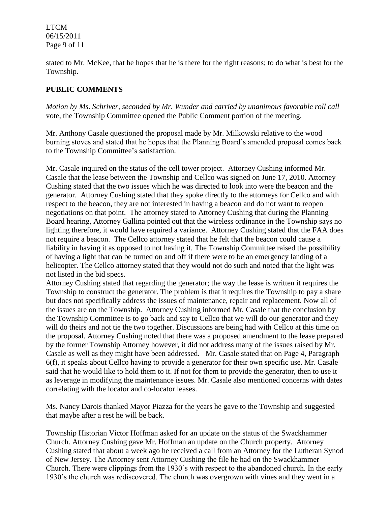LTCM 06/15/2011 Page 9 of 11

stated to Mr. McKee, that he hopes that he is there for the right reasons; to do what is best for the Township.

### **PUBLIC COMMENTS**

*Motion by Ms. Schriver, seconded by Mr. Wunder and carried by unanimous favorable roll call*  vote, the Township Committee opened the Public Comment portion of the meeting.

Mr. Anthony Casale questioned the proposal made by Mr. Milkowski relative to the wood burning stoves and stated that he hopes that the Planning Board's amended proposal comes back to the Township Committee's satisfaction.

Mr. Casale inquired on the status of the cell tower project. Attorney Cushing informed Mr. Casale that the lease between the Township and Cellco was signed on June 17, 2010. Attorney Cushing stated that the two issues which he was directed to look into were the beacon and the generator. Attorney Cushing stated that they spoke directly to the attorneys for Cellco and with respect to the beacon, they are not interested in having a beacon and do not want to reopen negotiations on that point. The attorney stated to Attorney Cushing that during the Planning Board hearing, Attorney Gallina pointed out that the wireless ordinance in the Township says no lighting therefore, it would have required a variance. Attorney Cushing stated that the FAA does not require a beacon. The Cellco attorney stated that he felt that the beacon could cause a liability in having it as opposed to not having it. The Township Committee raised the possibility of having a light that can be turned on and off if there were to be an emergency landing of a helicopter. The Cellco attorney stated that they would not do such and noted that the light was not listed in the bid specs.

Attorney Cushing stated that regarding the generator; the way the lease is written it requires the Township to construct the generator. The problem is that it requires the Township to pay a share but does not specifically address the issues of maintenance, repair and replacement. Now all of the issues are on the Township. Attorney Cushing informed Mr. Casale that the conclusion by the Township Committee is to go back and say to Cellco that we will do our generator and they will do theirs and not tie the two together. Discussions are being had with Cellco at this time on the proposal. Attorney Cushing noted that there was a proposed amendment to the lease prepared by the former Township Attorney however, it did not address many of the issues raised by Mr. Casale as well as they might have been addressed. Mr. Casale stated that on Page 4, Paragraph 6(f), it speaks about Cellco having to provide a generator for their own specific use. Mr. Casale said that he would like to hold them to it. If not for them to provide the generator, then to use it as leverage in modifying the maintenance issues. Mr. Casale also mentioned concerns with dates correlating with the locator and co-locator leases.

Ms. Nancy Darois thanked Mayor Piazza for the years he gave to the Township and suggested that maybe after a rest he will be back.

Township Historian Victor Hoffman asked for an update on the status of the Swackhammer Church. Attorney Cushing gave Mr. Hoffman an update on the Church property. Attorney Cushing stated that about a week ago he received a call from an Attorney for the Lutheran Synod of New Jersey. The Attorney sent Attorney Cushing the file he had on the Swackhammer Church. There were clippings from the 1930's with respect to the abandoned church. In the early 1930's the church was rediscovered. The church was overgrown with vines and they went in a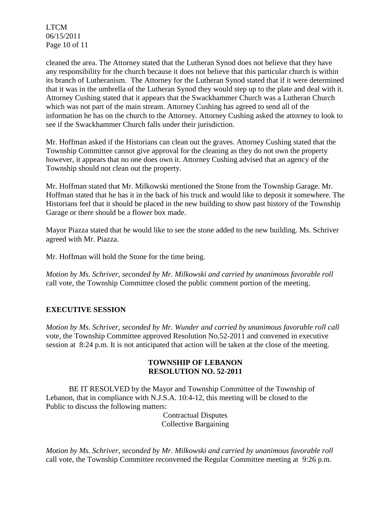LTCM 06/15/2011 Page 10 of 11

cleaned the area. The Attorney stated that the Lutheran Synod does not believe that they have any responsibility for the church because it does not believe that this particular church is within its branch of Lutheranism. The Attorney for the Lutheran Synod stated that if it were determined that it was in the umbrella of the Lutheran Synod they would step up to the plate and deal with it. Attorney Cushing stated that it appears that the Swackhammer Church was a Lutheran Church which was not part of the main stream. Attorney Cushing has agreed to send all of the information he has on the church to the Attorney. Attorney Cushing asked the attorney to look to see if the Swackhammer Church falls under their jurisdiction.

Mr. Hoffman asked if the Historians can clean out the graves. Attorney Cushing stated that the Township Committee cannot give approval for the cleaning as they do not own the property however, it appears that no one does own it. Attorney Cushing advised that an agency of the Township should not clean out the property.

Mr. Hoffman stated that Mr. Milkowski mentioned the Stone from the Township Garage. Mr. Hoffman stated that he has it in the back of his truck and would like to deposit it somewhere. The Historians feel that it should be placed in the new building to show past history of the Township Garage or there should be a flower box made.

Mayor Piazza stated that he would like to see the stone added to the new building. Ms. Schriver agreed with Mr. Piazza.

Mr. Hoffman will hold the Stone for the time being.

*Motion by Ms. Schriver, seconded by Mr. Milkowski and carried by unanimous favorable roll*  call vote*,* the Township Committee closed the public comment portion of the meeting.

# **EXECUTIVE SESSION**

*Motion by Ms. Schriver, seconded by Mr. Wunder and carried by unanimous favorable roll call*  vote, the Township Committee approved Resolution No.52-2011 and convened in executive session at 8:24 p.m. It is not anticipated that action will be taken at the close of the meeting.

#### **TOWNSHIP OF LEBANON RESOLUTION NO. 52-2011**

BE IT RESOLVED by the Mayor and Township Committee of the Township of Lebanon, that in compliance with N.J.S.A. 10:4-12, this meeting will be closed to the Public to discuss the following matters:

> Contractual Disputes Collective Bargaining

*Motion by Ms. Schriver, seconded by Mr. Milkowski and carried by unanimous favorable roll*  call vote, the Township Committee reconvened the Regular Committee meeting at 9:26 p.m.